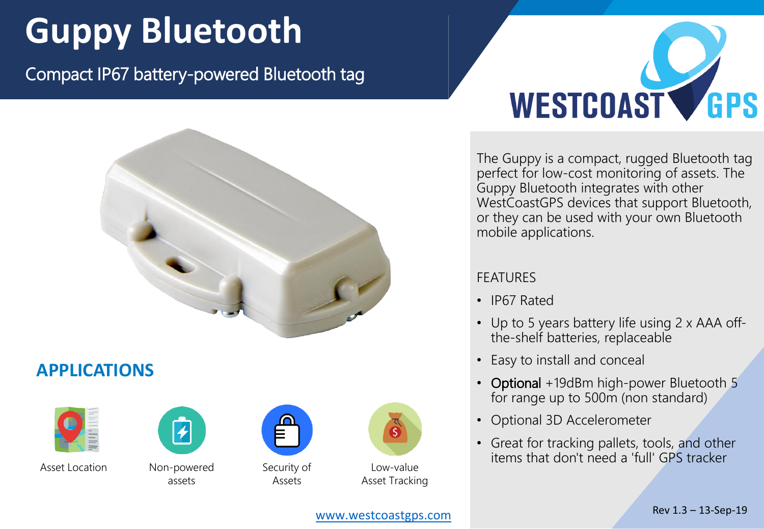## **Guppy Bluetooth**

Compact IP67 battery-powered Bluetooth tag



## **APPLICATIONS**



Asset Location Non-powered



assets



Security of Assets



Low-value Asset Tracking



The Guppy is a compact, rugged Bluetooth tag perfect for low-cost monitoring of assets. The Guppy Bluetooth integrates with other WestCoastGPS devices that support Bluetooth, or they can be used with your own Bluetooth mobile applications.

## FEATURES

- IP67 Rated
- Up to 5 years battery life using 2 x AAA offthe-shelf batteries, replaceable
- Easy to install and conceal
- Optional +19dBm high-power Bluetooth 5 for range up to 500m (non standard)
- Optional 3D Accelerometer
- Great for tracking pallets, tools, and other items that don't need a 'full' GPS tracker

[www.westcoastgps.com](http://www.westcoastgps.com)